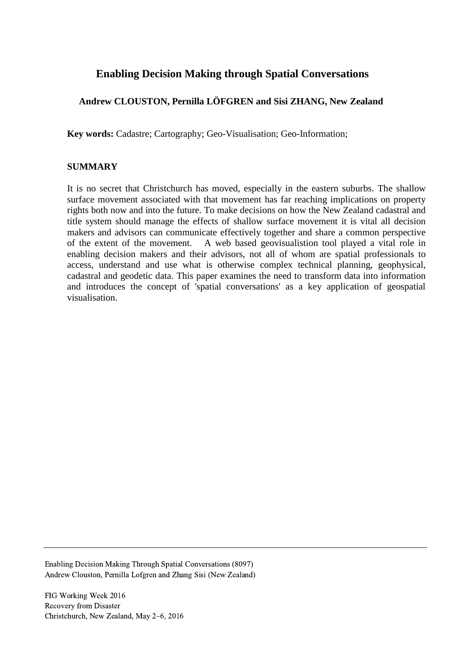# **Enabling Decision Making through Spatial Conversations**

## **Andrew CLOUSTON, Pernilla LÖFGREN and Sisi ZHANG, New Zealand**

**Key words:** Cadastre; Cartography; Geo-Visualisation; Geo-Information;

#### **SUMMARY**

It is no secret that Christchurch has moved, especially in the eastern suburbs. The shallow surface movement associated with that movement has far reaching implications on property rights both now and into the future. To make decisions on how the New Zealand cadastral and title system should manage the effects of shallow surface movement it is vital all decision makers and advisors can communicate effectively together and share a common perspective of the extent of the movement. A web based geovisualistion tool played a vital role in enabling decision makers and their advisors, not all of whom are spatial professionals to access, understand and use what is otherwise complex technical planning, geophysical, cadastral and geodetic data. This paper examines the need to transform data into information and introduces the concept of 'spatial conversations' as a key application of geospatial visualisation.

Enabling Decision Making Through Spatial Conversations (8097) Andrew Clouston, Pernilla Lofgren and Zhang Sisi (New Zealand)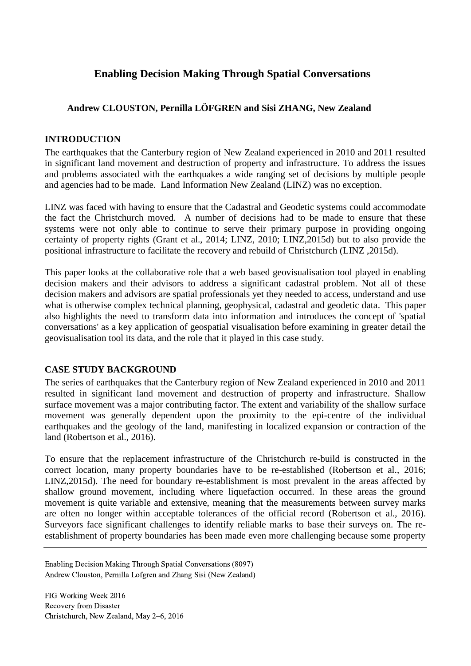# **Enabling Decision Making Through Spatial Conversations**

# **Andrew CLOUSTON, Pernilla LÖFGREN and Sisi ZHANG, New Zealand**

#### **INTRODUCTION**

The earthquakes that the Canterbury region of New Zealand experienced in 2010 and 2011 resulted in significant land movement and destruction of property and infrastructure. To address the issues and problems associated with the earthquakes a wide ranging set of decisions by multiple people and agencies had to be made. Land Information New Zealand (LINZ) was no exception.

LINZ was faced with having to ensure that the Cadastral and Geodetic systems could accommodate the fact the Christchurch moved. A number of decisions had to be made to ensure that these systems were not only able to continue to serve their primary purpose in providing ongoing certainty of property rights (Grant et al., 2014; LINZ, 2010; LINZ,2015d) but to also provide the positional infrastructure to facilitate the recovery and rebuild of Christchurch (LINZ ,2015d).

This paper looks at the collaborative role that a web based geovisualisation tool played in enabling decision makers and their advisors to address a significant cadastral problem. Not all of these decision makers and advisors are spatial professionals yet they needed to access, understand and use what is otherwise complex technical planning, geophysical, cadastral and geodetic data. This paper also highlights the need to transform data into information and introduces the concept of 'spatial conversations' as a key application of geospatial visualisation before examining in greater detail the geovisualisation tool its data, and the role that it played in this case study.

#### **CASE STUDY BACKGROUND**

The series of earthquakes that the Canterbury region of New Zealand experienced in 2010 and 2011 resulted in significant land movement and destruction of property and infrastructure. Shallow surface movement was a major contributing factor. The extent and variability of the shallow surface movement was generally dependent upon the proximity to the epi-centre of the individual earthquakes and the geology of the land, manifesting in localized expansion or contraction of the land (Robertson et al., 2016).

To ensure that the replacement infrastructure of the Christchurch re-build is constructed in the correct location, many property boundaries have to be re-established (Robertson et al., 2016; LINZ,2015d). The need for boundary re-establishment is most prevalent in the areas affected by shallow ground movement, including where liquefaction occurred. In these areas the ground movement is quite variable and extensive, meaning that the measurements between survey marks are often no longer within acceptable tolerances of the official record (Robertson et al., 2016). Surveyors face significant challenges to identify reliable marks to base their surveys on. The reestablishment of property boundaries has been made even more challenging because some property

Enabling Decision Making Through Spatial Conversations (8097) Andrew Clouston, Pernilla Lofgren and Zhang Sisi (New Zealand)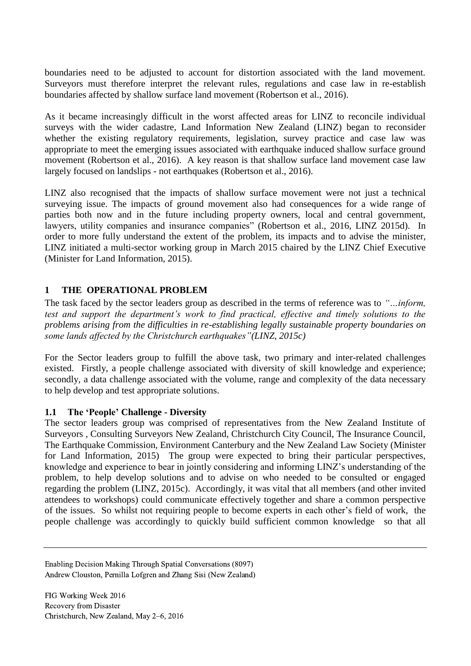boundaries need to be adjusted to account for distortion associated with the land movement. Surveyors must therefore interpret the relevant rules, regulations and case law in re-establish boundaries affected by shallow surface land movement (Robertson et al., 2016).

As it became increasingly difficult in the worst affected areas for LINZ to reconcile individual surveys with the wider cadastre, Land Information New Zealand (LINZ) began to reconsider whether the existing regulatory requirements, legislation, survey practice and case law was appropriate to meet the emerging issues associated with earthquake induced shallow surface ground movement (Robertson et al., 2016). A key reason is that shallow surface land movement case law largely focused on landslips - not earthquakes (Robertson et al., 2016).

LINZ also recognised that the impacts of shallow surface movement were not just a technical surveying issue. The impacts of ground movement also had consequences for a wide range of parties both now and in the future including property owners, local and central government, lawyers, utility companies and insurance companies" (Robertson et al., 2016, LINZ 2015d). In order to more fully understand the extent of the problem, its impacts and to advise the minister, LINZ initiated a multi-sector working group in March 2015 chaired by the LINZ Chief Executive (Minister for Land Information, 2015).

# **1 THE OPERATIONAL PROBLEM**

The task faced by the sector leaders group as described in the terms of reference was to *"…inform, test and support the department's work to find practical, effective and timely solutions to the problems arising from the difficulties in re-establishing legally sustainable property boundaries on some lands affected by the Christchurch earthquakes"(LINZ, 2015c)*

For the Sector leaders group to fulfill the above task, two primary and inter-related challenges existed. Firstly, a people challenge associated with diversity of skill knowledge and experience; secondly, a data challenge associated with the volume, range and complexity of the data necessary to help develop and test appropriate solutions.

#### **1.1 The 'People' Challenge - Diversity**

The sector leaders group was comprised of representatives from the New Zealand Institute of Surveyors , Consulting Surveyors New Zealand, Christchurch City Council, The Insurance Council, The Earthquake Commission, Environment Canterbury and the New Zealand Law Society (Minister for Land Information, 2015) The group were expected to bring their particular perspectives, knowledge and experience to bear in jointly considering and informing LINZ's understanding of the problem, to help develop solutions and to advise on who needed to be consulted or engaged regarding the problem (LINZ, 2015c). Accordingly, it was vital that all members (and other invited attendees to workshops) could communicate effectively together and share a common perspective of the issues. So whilst not requiring people to become experts in each other's field of work, the people challenge was accordingly to quickly build sufficient common knowledge so that all

Enabling Decision Making Through Spatial Conversations (8097) Andrew Clouston, Pernilla Lofgren and Zhang Sisi (New Zealand)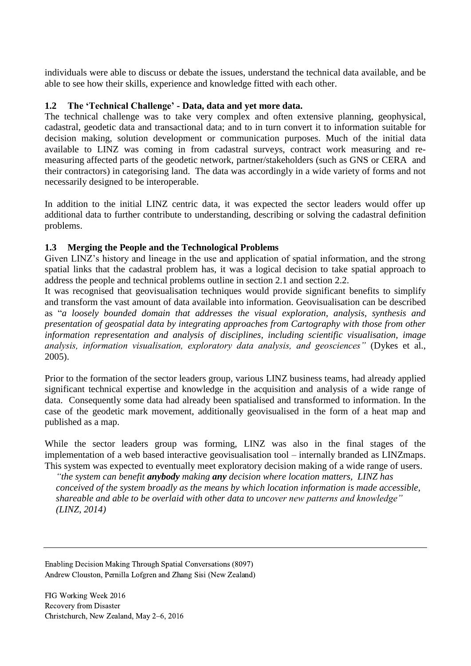individuals were able to discuss or debate the issues, understand the technical data available, and be able to see how their skills, experience and knowledge fitted with each other.

#### **1.2 The 'Technical Challenge' - Data, data and yet more data.**

The technical challenge was to take very complex and often extensive planning, geophysical, cadastral, geodetic data and transactional data; and to in turn convert it to information suitable for decision making, solution development or communication purposes. Much of the initial data available to LINZ was coming in from cadastral surveys, contract work measuring and remeasuring affected parts of the geodetic network, partner/stakeholders (such as GNS or CERA and their contractors) in categorising land. The data was accordingly in a wide variety of forms and not necessarily designed to be interoperable.

In addition to the initial LINZ centric data, it was expected the sector leaders would offer up additional data to further contribute to understanding, describing or solving the cadastral definition problems.

#### **1.3 Merging the People and the Technological Problems**

Given LINZ's history and lineage in the use and application of spatial information, and the strong spatial links that the cadastral problem has, it was a logical decision to take spatial approach to address the people and technical problems outline in section 2.1 and section 2.2.

It was recognised that geovisualisation techniques would provide significant benefits to simplify and transform the vast amount of data available into information. Geovisualisation can be described as "*a loosely bounded domain that addresses the visual exploration, analysis, synthesis and presentation of geospatial data by integrating approaches from Cartography with those from other information representation and analysis of disciplines, including scientific visualisation, image analysis, information visualisation, exploratory data analysis, and geosciences"* (Dykes et al., 2005).

Prior to the formation of the sector leaders group, various LINZ business teams, had already applied significant technical expertise and knowledge in the acquisition and analysis of a wide range of data. Consequently some data had already been spatialised and transformed to information. In the case of the geodetic mark movement, additionally geovisualised in the form of a heat map and published as a map.

While the sector leaders group was forming, LINZ was also in the final stages of the implementation of a web based interactive geovisualisation tool – internally branded as LINZmaps. This system was expected to eventually meet exploratory decision making of a wide range of users.

*"the system can benefit anybody making any decision where location matters, LINZ has conceived of the system broadly as the means by which location information is made accessible, shareable and able to be overlaid with other data to uncover new patterns and knowledge" (LINZ, 2014)*

Enabling Decision Making Through Spatial Conversations (8097) Andrew Clouston, Pernilla Lofgren and Zhang Sisi (New Zealand)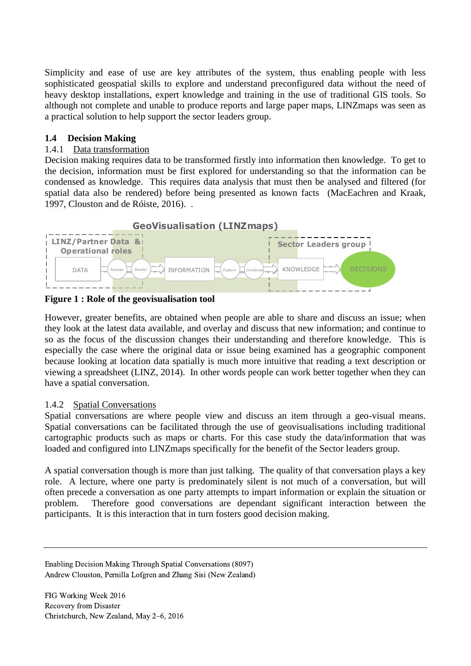Simplicity and ease of use are key attributes of the system, thus enabling people with less sophisticated geospatial skills to explore and understand preconfigured data without the need of heavy desktop installations, expert knowledge and training in the use of traditional GIS tools. So although not complete and unable to produce reports and large paper maps, LINZmaps was seen as a practical solution to help support the sector leaders group.

### **1.4 Decision Making**

#### 1.4.1 Data transformation

Decision making requires data to be transformed firstly into information then knowledge. To get to the decision, information must be first explored for understanding so that the information can be condensed as knowledge. This requires data analysis that must then be analysed and filtered (for spatial data also be rendered) before being presented as known facts (MacEachren and Kraak, 1997, Clouston and de Róiste, 2016). .



**Figure 1 : Role of the geovisualisation tool**

However, greater benefits, are obtained when people are able to share and discuss an issue; when they look at the latest data available, and overlay and discuss that new information; and continue to so as the focus of the discussion changes their understanding and therefore knowledge. This is especially the case where the original data or issue being examined has a geographic component because looking at location data spatially is much more intuitive that reading a text description or viewing a spreadsheet (LINZ, 2014). In other words people can work better together when they can have a spatial conversation.

#### 1.4.2 Spatial Conversations

Spatial conversations are where people view and discuss an item through a geo-visual means. Spatial conversations can be facilitated through the use of geovisualisations including traditional cartographic products such as maps or charts. For this case study the data/information that was loaded and configured into LINZmaps specifically for the benefit of the Sector leaders group.

A spatial conversation though is more than just talking. The quality of that conversation plays a key role. A lecture, where one party is predominately silent is not much of a conversation, but will often precede a conversation as one party attempts to impart information or explain the situation or problem. Therefore good conversations are dependant significant interaction between the participants. It is this interaction that in turn fosters good decision making.

Enabling Decision Making Through Spatial Conversations (8097) Andrew Clouston, Pernilla Lofgren and Zhang Sisi (New Zealand)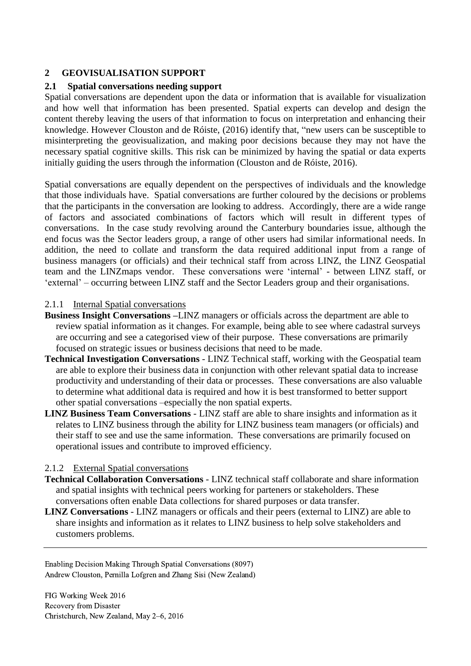### **2 GEOVISUALISATION SUPPORT**

#### **2.1 Spatial conversations needing support**

Spatial conversations are dependent upon the data or information that is available for visualization and how well that information has been presented. Spatial experts can develop and design the content thereby leaving the users of that information to focus on interpretation and enhancing their knowledge. However Clouston and de Róiste, (2016) identify that, "new users can be susceptible to misinterpreting the geovisualization, and making poor decisions because they may not have the necessary spatial cognitive skills. This risk can be minimized by having the spatial or data experts initially guiding the users through the information (Clouston and de Róiste, 2016).

Spatial conversations are equally dependent on the perspectives of individuals and the knowledge that those individuals have. Spatial conversations are further coloured by the decisions or problems that the participants in the conversation are looking to address. Accordingly, there are a wide range of factors and associated combinations of factors which will result in different types of conversations. In the case study revolving around the Canterbury boundaries issue, although the end focus was the Sector leaders group, a range of other users had similar informational needs. In addition, the need to collate and transform the data required additional input from a range of business managers (or officials) and their technical staff from across LINZ, the LINZ Geospatial team and the LINZmaps vendor. These conversations were 'internal' - between LINZ staff, or 'external' – occurring between LINZ staff and the Sector Leaders group and their organisations.

#### 2.1.1 Internal Spatial conversations

- **Business Insight Conversations –**LINZ managers or officials across the department are able to review spatial information as it changes. For example, being able to see where cadastral surveys are occurring and see a categorised view of their purpose. These conversations are primarily focused on strategic issues or business decisions that need to be made.
- **Technical Investigation Conversations** LINZ Technical staff, working with the Geospatial team are able to explore their business data in conjunction with other relevant spatial data to increase productivity and understanding of their data or processes. These conversations are also valuable to determine what additional data is required and how it is best transformed to better support other spatial conversations –especially the non spatial experts.
- **LINZ Business Team Conversations**  LINZ staff are able to share insights and information as it relates to LINZ business through the ability for LINZ business team managers (or officials) and their staff to see and use the same information. These conversations are primarily focused on operational issues and contribute to improved efficiency.

#### 2.1.2 External Spatial conversations

- **Technical Collaboration Conversations** LINZ technical staff collaborate and share information and spatial insights with technical peers working for parteners or stakeholders. These conversations often enable Data collections for shared purposes or data transfer.
- **LINZ Conversations** LINZ managers or officals and their peers (external to LINZ) are able to share insights and information as it relates to LINZ business to help solve stakeholders and customers problems.

Enabling Decision Making Through Spatial Conversations (8097) Andrew Clouston, Pernilla Lofgren and Zhang Sisi (New Zealand)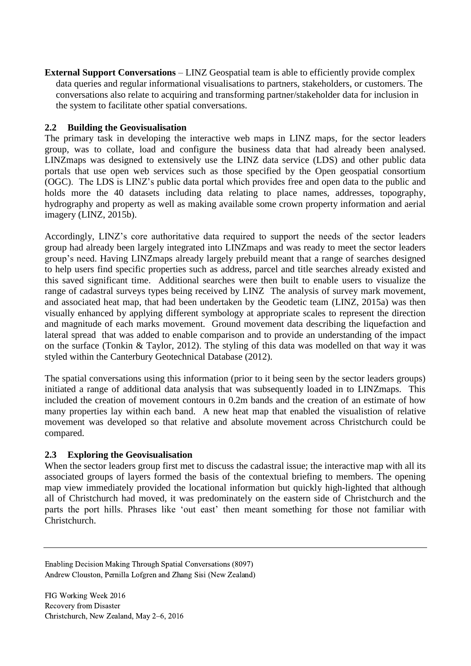**External Support Conversations** – LINZ Geospatial team is able to efficiently provide complex data queries and regular informational visualisations to partners, stakeholders, or customers. The conversations also relate to acquiring and transforming partner/stakeholder data for inclusion in the system to facilitate other spatial conversations.

### **2.2 Building the Geovisualisation**

The primary task in developing the interactive web maps in LINZ maps, for the sector leaders group, was to collate, load and configure the business data that had already been analysed. LINZmaps was designed to extensively use the LINZ data service (LDS) and other public data portals that use open web services such as those specified by the Open geospatial consortium (OGC). The LDS is LINZ's public data portal which provides free and open data to the public and holds more the 40 datasets including data relating to place names, addresses, topography, hydrography and property as well as making available some crown property information and aerial imagery (LINZ, 2015b).

Accordingly, LINZ's core authoritative data required to support the needs of the sector leaders group had already been largely integrated into LINZmaps and was ready to meet the sector leaders group's need. Having LINZmaps already largely prebuild meant that a range of searches designed to help users find specific properties such as address, parcel and title searches already existed and this saved significant time. Additional searches were then built to enable users to visualize the range of cadastral surveys types being received by LINZ The analysis of survey mark movement, and associated heat map, that had been undertaken by the Geodetic team (LINZ, 2015a) was then visually enhanced by applying different symbology at appropriate scales to represent the direction and magnitude of each marks movement. Ground movement data describing the liquefaction and lateral spread that was added to enable comparison and to provide an understanding of the impact on the surface (Tonkin & Taylor, 2012). The styling of this data was modelled on that way it was styled within the Canterbury Geotechnical Database (2012).

The spatial conversations using this information (prior to it being seen by the sector leaders groups) initiated a range of additional data analysis that was subsequently loaded in to LINZmaps. This included the creation of movement contours in 0.2m bands and the creation of an estimate of how many properties lay within each band. A new heat map that enabled the visualistion of relative movement was developed so that relative and absolute movement across Christchurch could be compared.

# **2.3 Exploring the Geovisualisation**

When the sector leaders group first met to discuss the cadastral issue; the interactive map with all its associated groups of layers formed the basis of the contextual briefing to members. The opening map view immediately provided the locational information but quickly high-lighted that although all of Christchurch had moved, it was predominately on the eastern side of Christchurch and the parts the port hills. Phrases like 'out east' then meant something for those not familiar with Christchurch.

Enabling Decision Making Through Spatial Conversations (8097) Andrew Clouston, Pernilla Lofgren and Zhang Sisi (New Zealand)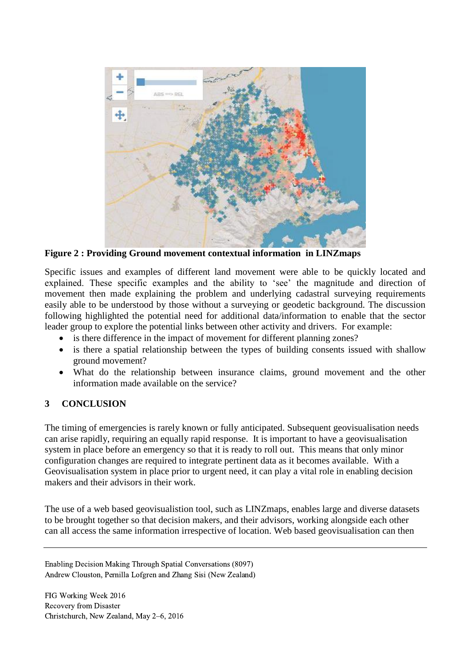

**Figure 2 : Providing Ground movement contextual information in LINZmaps**

Specific issues and examples of different land movement were able to be quickly located and explained. These specific examples and the ability to 'see' the magnitude and direction of movement then made explaining the problem and underlying cadastral surveying requirements easily able to be understood by those without a surveying or geodetic background. The discussion following highlighted the potential need for additional data/information to enable that the sector leader group to explore the potential links between other activity and drivers. For example:

- is there difference in the impact of movement for different planning zones?
- is there a spatial relationship between the types of building consents issued with shallow ground movement?
- What do the relationship between insurance claims, ground movement and the other information made available on the service?

# **3 CONCLUSION**

The timing of emergencies is rarely known or fully anticipated. Subsequent geovisualisation needs can arise rapidly, requiring an equally rapid response. It is important to have a geovisualisation system in place before an emergency so that it is ready to roll out. This means that only minor configuration changes are required to integrate pertinent data as it becomes available. With a Geovisualisation system in place prior to urgent need, it can play a vital role in enabling decision makers and their advisors in their work.

The use of a web based geovisualistion tool, such as LINZmaps, enables large and diverse datasets to be brought together so that decision makers, and their advisors, working alongside each other can all access the same information irrespective of location. Web based geovisualisation can then

Enabling Decision Making Through Spatial Conversations (8097) Andrew Clouston, Pernilla Lofgren and Zhang Sisi (New Zealand)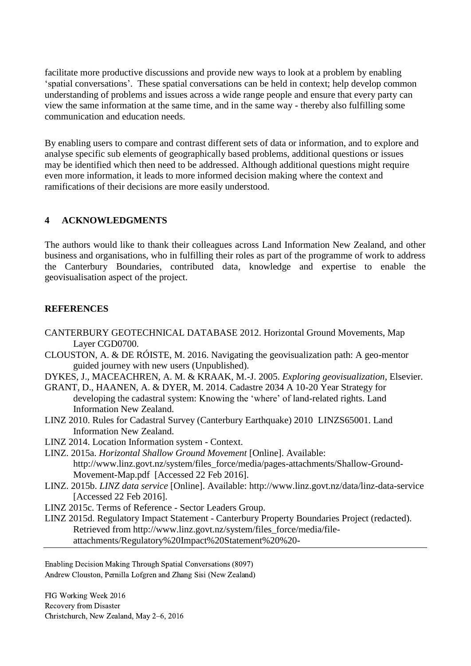facilitate more productive discussions and provide new ways to look at a problem by enabling 'spatial conversations'. These spatial conversations can be held in context; help develop common understanding of problems and issues across a wide range people and ensure that every party can view the same information at the same time, and in the same way - thereby also fulfilling some communication and education needs.

By enabling users to compare and contrast different sets of data or information, and to explore and analyse specific sub elements of geographically based problems, additional questions or issues may be identified which then need to be addressed. Although additional questions might require even more information, it leads to more informed decision making where the context and ramifications of their decisions are more easily understood.

## **4 ACKNOWLEDGMENTS**

The authors would like to thank their colleagues across Land Information New Zealand, and other business and organisations, who in fulfilling their roles as part of the programme of work to address the Canterbury Boundaries, contributed data, knowledge and expertise to enable the geovisualisation aspect of the project.

## **REFERENCES**

- CANTERBURY GEOTECHNICAL DATABASE 2012. Horizontal Ground Movements, Map Layer CGD0700.
- CLOUSTON, A. & DE RÓISTE, M. 2016. Navigating the geovisualization path: A geo-mentor guided journey with new users (Unpublished).
- DYKES, J., MACEACHREN, A. M. & KRAAK, M.-J. 2005. *Exploring geovisualization*, Elsevier.
- GRANT, D., HAANEN, A. & DYER, M. 2014. Cadastre 2034 A 10-20 Year Strategy for developing the cadastral system: Knowing the 'where' of land-related rights. Land Information New Zealand.
- LINZ 2010. Rules for Cadastral Survey (Canterbury Earthquake) 2010 LINZS65001. Land Information New Zealand.
- LINZ 2014. Location Information system Context.
- LINZ. 2015a. *Horizontal Shallow Ground Movement* [Online]. Available: http://www.linz.govt.nz/system/files\_force/media/pages-attachments/Shallow-Ground-Movement-Map.pdf [Accessed 22 Feb 2016].
- LINZ. 2015b. *LINZ data service* [Online]. Available:<http://www.linz.govt.nz/data/linz-data-service> [Accessed 22 Feb 2016].
- LINZ 2015c. Terms of Reference Sector Leaders Group.
- LINZ 2015d. Regulatory Impact Statement Canterbury Property Boundaries Project (redacted). Retrieved from http://www.linz.govt.nz/system/files\_force/media/fileattachments/Regulatory%20Impact%20Statement%20%20-

Enabling Decision Making Through Spatial Conversations (8097) Andrew Clouston, Pernilla Lofgren and Zhang Sisi (New Zealand)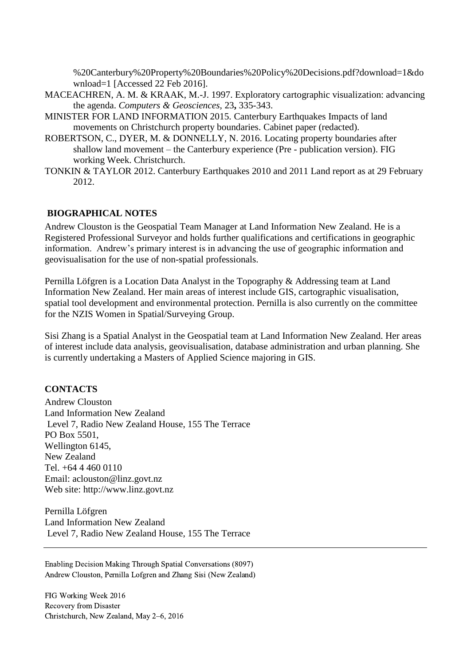%20Canterbury%20Property%20Boundaries%20Policy%20Decisions.pdf?download=1&do wnload=1 [Accessed 22 Feb 2016].

- MACEACHREN, A. M. & KRAAK, M.-J. 1997. Exploratory cartographic visualization: advancing the agenda. *Computers & Geosciences,* 23**,** 335-343.
- MINISTER FOR LAND INFORMATION 2015. [Canterbury Earthquakes Impacts of land](http://www.linz.govt.nz/system/files_force/media/file-attachments/2015%2003%2025%20Canterbury%20Earthquakes_%20Impacts%20of%20land%20movements%20on%20Christchurch%20property%20boundaries%20-%20redacted%20version.pdf?download=1&download=1)  [movements on Christchurch property boundaries.](http://www.linz.govt.nz/system/files_force/media/file-attachments/2015%2003%2025%20Canterbury%20Earthquakes_%20Impacts%20of%20land%20movements%20on%20Christchurch%20property%20boundaries%20-%20redacted%20version.pdf?download=1&download=1) Cabinet paper (redacted).
- ROBERTSON, C., DYER, M. & DONNELLY, N. 2016. Locating property boundaries after shallow land movement – the Canterbury experience (Pre - publication version). FIG working Week. Christchurch.
- TONKIN & TAYLOR 2012. Canterbury Earthquakes 2010 and 2011 Land report as at 29 February 2012.

#### **BIOGRAPHICAL NOTES**

Andrew Clouston is the Geospatial Team Manager at Land Information New Zealand. He is a Registered Professional Surveyor and holds further qualifications and certifications in geographic information. Andrew's primary interest is in advancing the use of geographic information and geovisualisation for the use of non-spatial professionals.

Pernilla Löfgren is a Location Data Analyst in the Topography & Addressing team at Land Information New Zealand. Her main areas of interest include GIS, cartographic visualisation, spatial tool development and environmental protection. Pernilla is also currently on the committee for the NZIS Women in Spatial/Surveying Group.

Sisi Zhang is a Spatial Analyst in the Geospatial team at Land Information New Zealand. Her areas of interest include data analysis, geovisualisation, database administration and urban planning. She is currently undertaking a Masters of Applied Science majoring in GIS.

#### **CONTACTS**

Andrew Clouston Land Information New Zealand Level 7, Radio New Zealand House, 155 The Terrace PO Box 5501, Wellington 6145, New Zealand Tel. +64 4 460 0110 Email: aclouston@linz.govt.nz Web site: [http://www.linz.govt.nz](http://www.linz.govt.nz/)

Pernilla Löfgren Land Information New Zealand Level 7, Radio New Zealand House, 155 The Terrace

Enabling Decision Making Through Spatial Conversations (8097) Andrew Clouston, Pernilla Lofgren and Zhang Sisi (New Zealand)